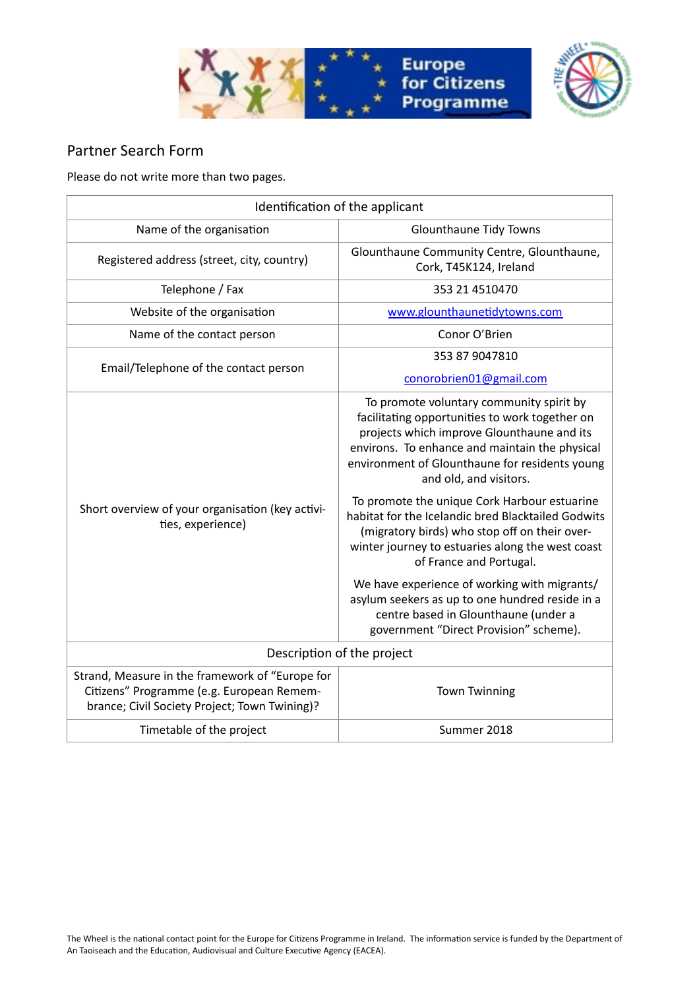



## Partner Search Form

Please do not write more than two pages.

| Identification of the applicant                                                                                                               |                                                                                                                                                                                                                                                                                                                                                                                                                                                                                                                                                                                                                                                                                                   |
|-----------------------------------------------------------------------------------------------------------------------------------------------|---------------------------------------------------------------------------------------------------------------------------------------------------------------------------------------------------------------------------------------------------------------------------------------------------------------------------------------------------------------------------------------------------------------------------------------------------------------------------------------------------------------------------------------------------------------------------------------------------------------------------------------------------------------------------------------------------|
| Name of the organisation                                                                                                                      | Glounthaune Tidy Towns                                                                                                                                                                                                                                                                                                                                                                                                                                                                                                                                                                                                                                                                            |
| Registered address (street, city, country)                                                                                                    | Glounthaune Community Centre, Glounthaune,<br>Cork, T45K124, Ireland                                                                                                                                                                                                                                                                                                                                                                                                                                                                                                                                                                                                                              |
| Telephone / Fax                                                                                                                               | 353 21 4510470                                                                                                                                                                                                                                                                                                                                                                                                                                                                                                                                                                                                                                                                                    |
| Website of the organisation                                                                                                                   | www.glounthaunetidytowns.com                                                                                                                                                                                                                                                                                                                                                                                                                                                                                                                                                                                                                                                                      |
| Name of the contact person                                                                                                                    | Conor O'Brien                                                                                                                                                                                                                                                                                                                                                                                                                                                                                                                                                                                                                                                                                     |
| Email/Telephone of the contact person                                                                                                         | 353 87 9047810<br>conorobrien01@gmail.com                                                                                                                                                                                                                                                                                                                                                                                                                                                                                                                                                                                                                                                         |
| Short overview of your organisation (key activi-<br>ties, experience)                                                                         | To promote voluntary community spirit by<br>facilitating opportunities to work together on<br>projects which improve Glounthaune and its<br>environs. To enhance and maintain the physical<br>environment of Glounthaune for residents young<br>and old, and visitors.<br>To promote the unique Cork Harbour estuarine<br>habitat for the Icelandic bred Blacktailed Godwits<br>(migratory birds) who stop off on their over-<br>winter journey to estuaries along the west coast<br>of France and Portugal.<br>We have experience of working with migrants/<br>asylum seekers as up to one hundred reside in a<br>centre based in Glounthaune (under a<br>government "Direct Provision" scheme). |
| Description of the project                                                                                                                    |                                                                                                                                                                                                                                                                                                                                                                                                                                                                                                                                                                                                                                                                                                   |
| Strand, Measure in the framework of "Europe for<br>Citizens" Programme (e.g. European Remem-<br>brance; Civil Society Project; Town Twining)? | <b>Town Twinning</b>                                                                                                                                                                                                                                                                                                                                                                                                                                                                                                                                                                                                                                                                              |
| Timetable of the project                                                                                                                      | Summer 2018                                                                                                                                                                                                                                                                                                                                                                                                                                                                                                                                                                                                                                                                                       |